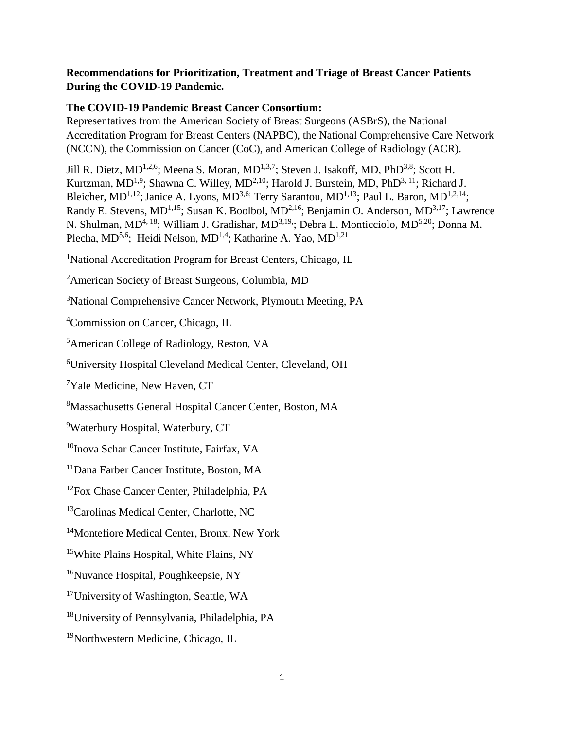# **Recommendations for Prioritization, Treatment and Triage of Breast Cancer Patients During the COVID-19 Pandemic.**

# **The COVID-19 Pandemic Breast Cancer Consortium:**

Representatives from the American Society of Breast Surgeons (ASBrS), the National Accreditation Program for Breast Centers (NAPBC), the National Comprehensive Care Network (NCCN), the Commission on Cancer (CoC), and American College of Radiology (ACR).

Jill R. Dietz, MD<sup>1,2,6</sup>; Meena S. Moran, MD<sup>1,3,7</sup>; Steven J. Isakoff, MD, PhD<sup>3,8</sup>; Scott H. Kurtzman, MD<sup>1,9</sup>; Shawna C. Willey, MD<sup>2,10</sup>; Harold J. Burstein, MD, PhD<sup>3, 11</sup>; Richard J. Bleicher, MD<sup>1,12</sup>; Janice A. Lyons, MD<sup>3,6;</sup> Terry Sarantou, MD<sup>1,13</sup>; Paul L. Baron, MD<sup>1,2,14</sup>; Randy E. Stevens, MD<sup>1,15</sup>; Susan K. Boolbol, MD<sup>2,16</sup>; Benjamin O. Anderson, MD<sup>3,17</sup>; Lawrence N. Shulman, MD<sup>4, 18</sup>; William J. Gradishar, MD<sup>3,19,</sup>; Debra L. Monticciolo, MD<sup>5,20</sup>; Donna M. Plecha, MD<sup>5,6</sup>; Heidi Nelson, MD<sup>1,4</sup>; Katharine A. Yao, MD<sup>1,21</sup>

**<sup>1</sup>**National Accreditation Program for Breast Centers, Chicago, IL

<sup>2</sup>American Society of Breast Surgeons, Columbia, MD

<sup>3</sup>National Comprehensive Cancer Network, Plymouth Meeting, PA

<sup>4</sup>Commission on Cancer, Chicago, IL

<sup>5</sup>American College of Radiology, Reston, VA

<sup>6</sup>University Hospital Cleveland Medical Center, Cleveland, OH

<sup>7</sup>Yale Medicine, New Haven, CT

<sup>8</sup>Massachusetts General Hospital Cancer Center, Boston, MA

<sup>9</sup>Waterbury Hospital, Waterbury, CT

<sup>10</sup>Inova Schar Cancer Institute, Fairfax, VA

<sup>11</sup>Dana Farber Cancer Institute, Boston, MA

<sup>12</sup>Fox Chase Cancer Center, Philadelphia, PA

<sup>13</sup>Carolinas Medical Center, Charlotte, NC

<sup>14</sup>Montefiore Medical Center, Bronx, New York

<sup>15</sup>White Plains Hospital, White Plains, NY

<sup>16</sup>Nuvance Hospital, Poughkeepsie, NY

<sup>17</sup>University of Washington, Seattle, WA

<sup>18</sup>University of Pennsylvania, Philadelphia, PA

<sup>19</sup>Northwestern Medicine, Chicago, IL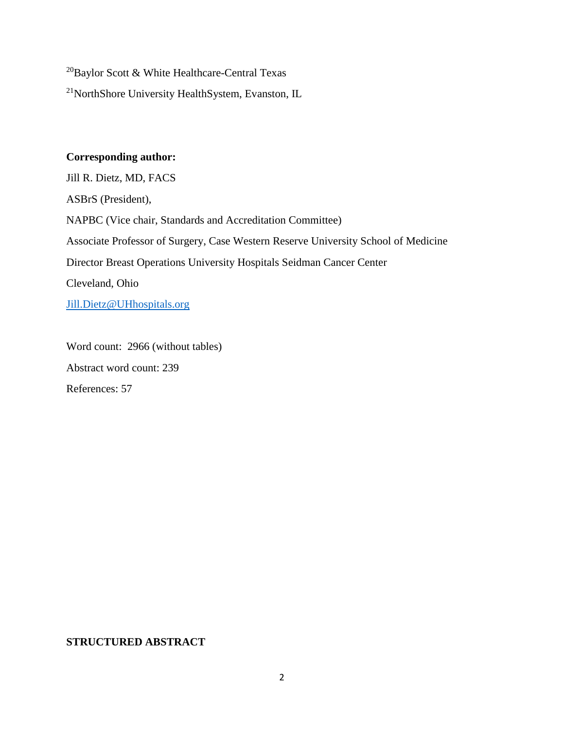$^{20}$ Baylor Scott & White Healthcare-Central Texas

<sup>21</sup>NorthShore University HealthSystem, Evanston, IL

## **Corresponding author:**

Jill R. Dietz, MD, FACS ASBrS (President), NAPBC (Vice chair, Standards and Accreditation Committee) Associate Professor of Surgery, Case Western Reserve University School of Medicine Director Breast Operations University Hospitals Seidman Cancer Center Cleveland, Ohio [Jill.Dietz@UHhospitals.org](mailto:Jill.Dietz@UHhospitals.org)

Word count: 2966 (without tables) Abstract word count: 239 References: 57

# **STRUCTURED ABSTRACT**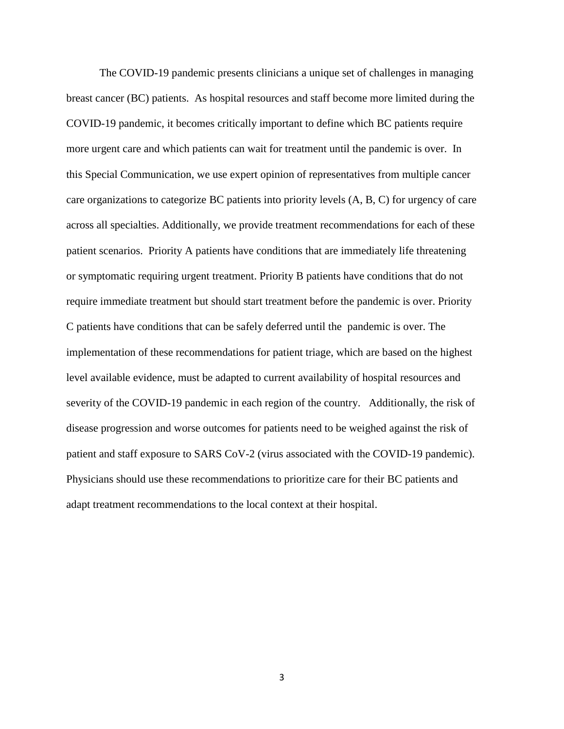The COVID-19 pandemic presents clinicians a unique set of challenges in managing breast cancer (BC) patients. As hospital resources and staff become more limited during the COVID-19 pandemic, it becomes critically important to define which BC patients require more urgent care and which patients can wait for treatment until the pandemic is over. In this Special Communication, we use expert opinion of representatives from multiple cancer care organizations to categorize BC patients into priority levels (A, B, C) for urgency of care across all specialties. Additionally, we provide treatment recommendations for each of these patient scenarios. Priority A patients have conditions that are immediately life threatening or symptomatic requiring urgent treatment. Priority B patients have conditions that do not require immediate treatment but should start treatment before the pandemic is over. Priority C patients have conditions that can be safely deferred until the pandemic is over. The implementation of these recommendations for patient triage, which are based on the highest level available evidence, must be adapted to current availability of hospital resources and severity of the COVID-19 pandemic in each region of the country. Additionally, the risk of disease progression and worse outcomes for patients need to be weighed against the risk of patient and staff exposure to SARS CoV-2 (virus associated with the COVID-19 pandemic). Physicians should use these recommendations to prioritize care for their BC patients and adapt treatment recommendations to the local context at their hospital.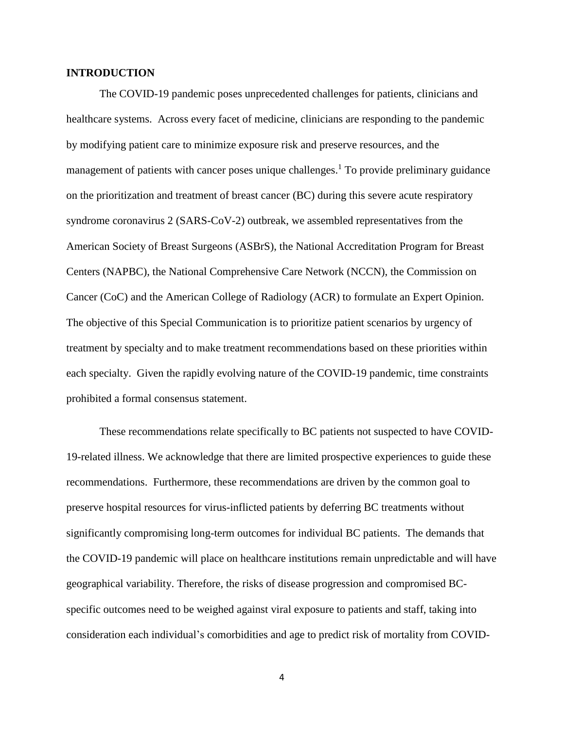## **INTRODUCTION**

The COVID-19 pandemic poses unprecedented challenges for patients, clinicians and healthcare systems. Across every facet of medicine, clinicians are responding to the pandemic by modifying patient care to minimize exposure risk and preserve resources, and the management of patients with cancer poses unique challenges.<sup>1</sup> To provide preliminary guidance on the prioritization and treatment of breast cancer (BC) during this severe acute respiratory syndrome coronavirus 2 (SARS-CoV-2) outbreak, we assembled representatives from the American Society of Breast Surgeons (ASBrS), the National Accreditation Program for Breast Centers (NAPBC), the National Comprehensive Care Network (NCCN), the Commission on Cancer (CoC) and the American College of Radiology (ACR) to formulate an Expert Opinion. The objective of this Special Communication is to prioritize patient scenarios by urgency of treatment by specialty and to make treatment recommendations based on these priorities within each specialty. Given the rapidly evolving nature of the COVID-19 pandemic, time constraints prohibited a formal consensus statement.

These recommendations relate specifically to BC patients not suspected to have COVID-19-related illness. We acknowledge that there are limited prospective experiences to guide these recommendations. Furthermore, these recommendations are driven by the common goal to preserve hospital resources for virus-inflicted patients by deferring BC treatments without significantly compromising long-term outcomes for individual BC patients. The demands that the COVID-19 pandemic will place on healthcare institutions remain unpredictable and will have geographical variability. Therefore, the risks of disease progression and compromised BCspecific outcomes need to be weighed against viral exposure to patients and staff, taking into consideration each individual's comorbidities and age to predict risk of mortality from COVID-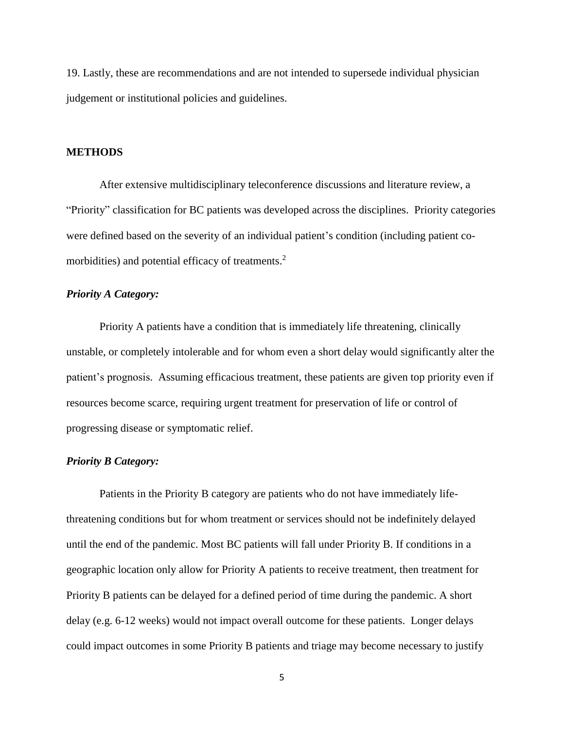19. Lastly, these are recommendations and are not intended to supersede individual physician judgement or institutional policies and guidelines.

## **METHODS**

After extensive multidisciplinary teleconference discussions and literature review, a "Priority" classification for BC patients was developed across the disciplines. Priority categories were defined based on the severity of an individual patient's condition (including patient comorbidities) and potential efficacy of treatments.<sup>2</sup>

## *Priority A Category:*

Priority A patients have a condition that is immediately life threatening, clinically unstable, or completely intolerable and for whom even a short delay would significantly alter the patient's prognosis. Assuming efficacious treatment, these patients are given top priority even if resources become scarce, requiring urgent treatment for preservation of life or control of progressing disease or symptomatic relief.

#### *Priority B Category:*

Patients in the Priority B category are patients who do not have immediately lifethreatening conditions but for whom treatment or services should not be indefinitely delayed until the end of the pandemic. Most BC patients will fall under Priority B. If conditions in a geographic location only allow for Priority A patients to receive treatment, then treatment for Priority B patients can be delayed for a defined period of time during the pandemic. A short delay (e.g. 6-12 weeks) would not impact overall outcome for these patients. Longer delays could impact outcomes in some Priority B patients and triage may become necessary to justify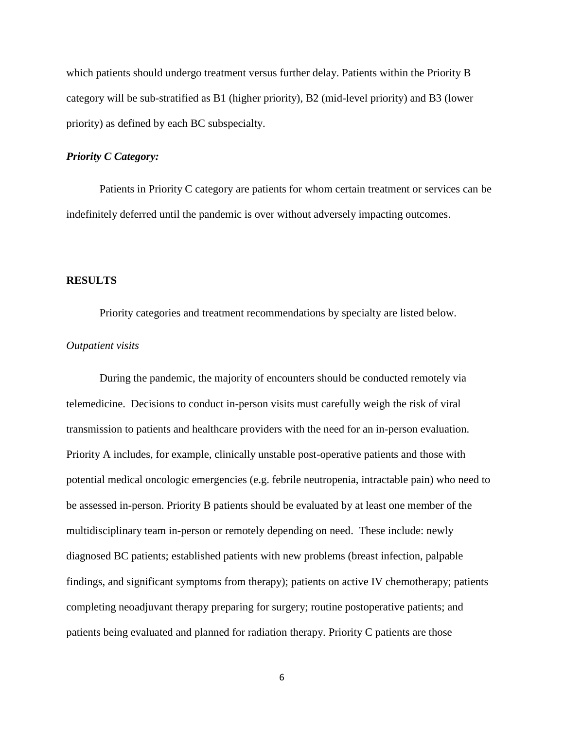which patients should undergo treatment versus further delay. Patients within the Priority B category will be sub-stratified as B1 (higher priority), B2 (mid-level priority) and B3 (lower priority) as defined by each BC subspecialty.

## *Priority C Category:*

Patients in Priority C category are patients for whom certain treatment or services can be indefinitely deferred until the pandemic is over without adversely impacting outcomes.

#### **RESULTS**

Priority categories and treatment recommendations by specialty are listed below.

#### *Outpatient visits*

During the pandemic, the majority of encounters should be conducted remotely via telemedicine. Decisions to conduct in-person visits must carefully weigh the risk of viral transmission to patients and healthcare providers with the need for an in-person evaluation. Priority A includes, for example, clinically unstable post-operative patients and those with potential medical oncologic emergencies (e.g. febrile neutropenia, intractable pain) who need to be assessed in-person. Priority B patients should be evaluated by at least one member of the multidisciplinary team in-person or remotely depending on need. These include: newly diagnosed BC patients; established patients with new problems (breast infection, palpable findings, and significant symptoms from therapy); patients on active IV chemotherapy; patients completing neoadjuvant therapy preparing for surgery; routine postoperative patients; and patients being evaluated and planned for radiation therapy. Priority C patients are those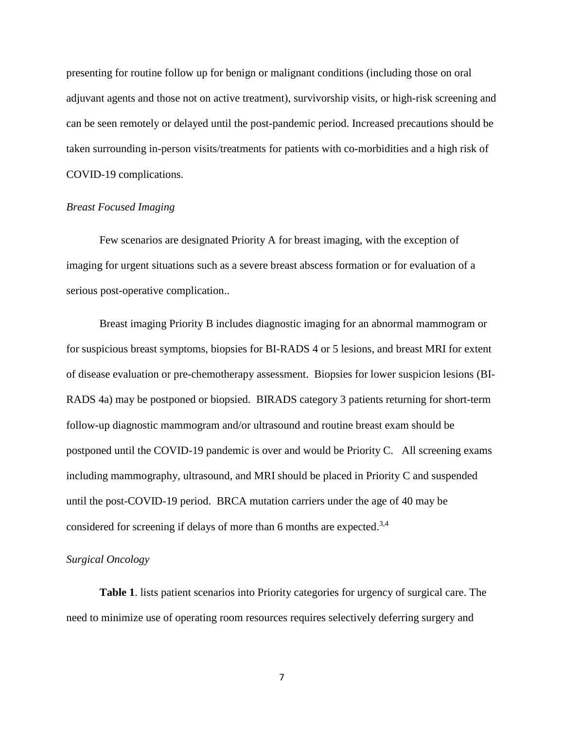presenting for routine follow up for benign or malignant conditions (including those on oral adjuvant agents and those not on active treatment), survivorship visits, or high-risk screening and can be seen remotely or delayed until the post-pandemic period. Increased precautions should be taken surrounding in-person visits/treatments for patients with co-morbidities and a high risk of COVID-19 complications.

## *Breast Focused Imaging*

Few scenarios are designated Priority A for breast imaging, with the exception of imaging for urgent situations such as a severe breast abscess formation or for evaluation of a serious post-operative complication..

Breast imaging Priority B includes diagnostic imaging for an abnormal mammogram or for suspicious breast symptoms, biopsies for BI-RADS 4 or 5 lesions, and breast MRI for extent of disease evaluation or pre-chemotherapy assessment. Biopsies for lower suspicion lesions (BI-RADS 4a) may be postponed or biopsied. BIRADS category 3 patients returning for short-term follow-up diagnostic mammogram and/or ultrasound and routine breast exam should be postponed until the COVID-19 pandemic is over and would be Priority C. All screening exams including mammography, ultrasound, and MRI should be placed in Priority C and suspended until the post-COVID-19 period. BRCA mutation carriers under the age of 40 may be considered for screening if delays of more than 6 months are expected.<sup>3,4</sup>

#### *Surgical Oncology*

**Table 1**. lists patient scenarios into Priority categories for urgency of surgical care. The need to minimize use of operating room resources requires selectively deferring surgery and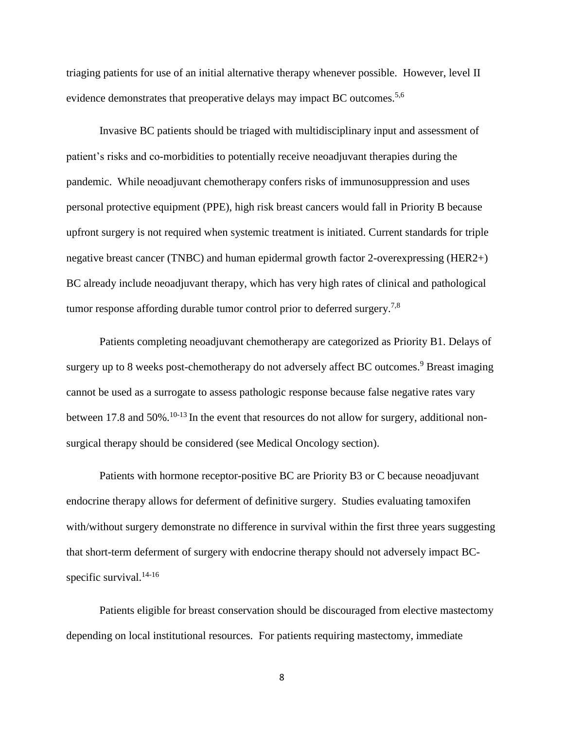triaging patients for use of an initial alternative therapy whenever possible. However, level II evidence demonstrates that preoperative delays may impact BC outcomes.<sup>5,6</sup>

Invasive BC patients should be triaged with multidisciplinary input and assessment of patient's risks and co-morbidities to potentially receive neoadjuvant therapies during the pandemic. While neoadjuvant chemotherapy confers risks of immunosuppression and uses personal protective equipment (PPE), high risk breast cancers would fall in Priority B because upfront surgery is not required when systemic treatment is initiated. Current standards for triple negative breast cancer (TNBC) and human epidermal growth factor 2-overexpressing (HER2+) BC already include neoadjuvant therapy, which has very high rates of clinical and pathological tumor response affording durable tumor control prior to deferred surgery.<sup>7,8</sup>

Patients completing neoadjuvant chemotherapy are categorized as Priority B1. Delays of surgery up to 8 weeks post-chemotherapy do not adversely affect BC outcomes.<sup>9</sup> Breast imaging cannot be used as a surrogate to assess pathologic response because false negative rates vary between 17.8 and 50%.<sup>10-13</sup> In the event that resources do not allow for surgery, additional nonsurgical therapy should be considered (see Medical Oncology section).

Patients with hormone receptor-positive BC are Priority B3 or C because neoadjuvant endocrine therapy allows for deferment of definitive surgery. Studies evaluating tamoxifen with/without surgery demonstrate no difference in survival within the first three years suggesting that short-term deferment of surgery with endocrine therapy should not adversely impact BCspecific survival.<sup>14-16</sup>

Patients eligible for breast conservation should be discouraged from elective mastectomy depending on local institutional resources. For patients requiring mastectomy, immediate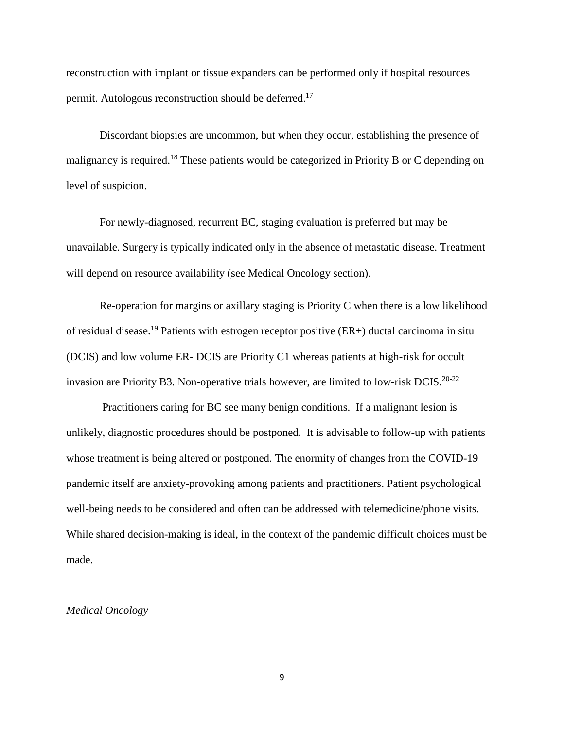reconstruction with implant or tissue expanders can be performed only if hospital resources permit. Autologous reconstruction should be deferred.<sup>17</sup>

Discordant biopsies are uncommon, but when they occur, establishing the presence of malignancy is required.<sup>18</sup> These patients would be categorized in Priority B or C depending on level of suspicion.

For newly-diagnosed, recurrent BC, staging evaluation is preferred but may be unavailable. Surgery is typically indicated only in the absence of metastatic disease. Treatment will depend on resource availability (see Medical Oncology section).

Re-operation for margins or axillary staging is Priority C when there is a low likelihood of residual disease. <sup>19</sup> Patients with estrogen receptor positive (ER+) ductal carcinoma in situ (DCIS) and low volume ER- DCIS are Priority C1 whereas patients at high-risk for occult invasion are Priority B3. Non-operative trials however, are limited to low-risk DCIS.<sup>20-22</sup>

Practitioners caring for BC see many benign conditions. If a malignant lesion is unlikely, diagnostic procedures should be postponed. It is advisable to follow-up with patients whose treatment is being altered or postponed. The enormity of changes from the COVID-19 pandemic itself are anxiety-provoking among patients and practitioners. Patient psychological well-being needs to be considered and often can be addressed with telemedicine/phone visits. While shared decision-making is ideal, in the context of the pandemic difficult choices must be made.

#### *Medical Oncology*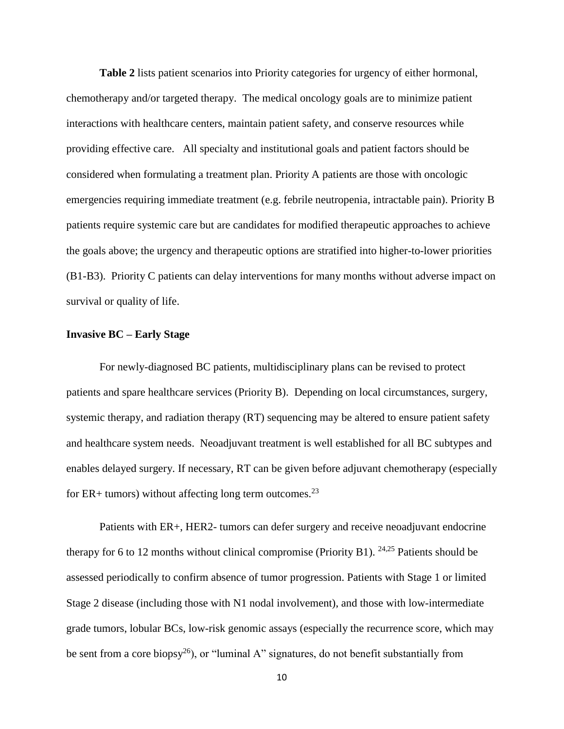**Table 2** lists patient scenarios into Priority categories for urgency of either hormonal, chemotherapy and/or targeted therapy. The medical oncology goals are to minimize patient interactions with healthcare centers, maintain patient safety, and conserve resources while providing effective care. All specialty and institutional goals and patient factors should be considered when formulating a treatment plan. Priority A patients are those with oncologic emergencies requiring immediate treatment (e.g. febrile neutropenia, intractable pain). Priority B patients require systemic care but are candidates for modified therapeutic approaches to achieve the goals above; the urgency and therapeutic options are stratified into higher-to-lower priorities (B1-B3). Priority C patients can delay interventions for many months without adverse impact on survival or quality of life.

#### **Invasive BC – Early Stage**

For newly-diagnosed BC patients, multidisciplinary plans can be revised to protect patients and spare healthcare services (Priority B). Depending on local circumstances, surgery, systemic therapy, and radiation therapy (RT) sequencing may be altered to ensure patient safety and healthcare system needs. Neoadjuvant treatment is well established for all BC subtypes and enables delayed surgery. If necessary, RT can be given before adjuvant chemotherapy (especially for ER+ tumors) without affecting long term outcomes.<sup>23</sup>

Patients with ER+, HER2- tumors can defer surgery and receive neoadjuvant endocrine therapy for 6 to 12 months without clinical compromise (Priority B1).  $24.25$  Patients should be assessed periodically to confirm absence of tumor progression. Patients with Stage 1 or limited Stage 2 disease (including those with N1 nodal involvement), and those with low-intermediate grade tumors, lobular BCs, low-risk genomic assays (especially the recurrence score, which may be sent from a core biopsy<sup>26</sup>), or "luminal A" signatures, do not benefit substantially from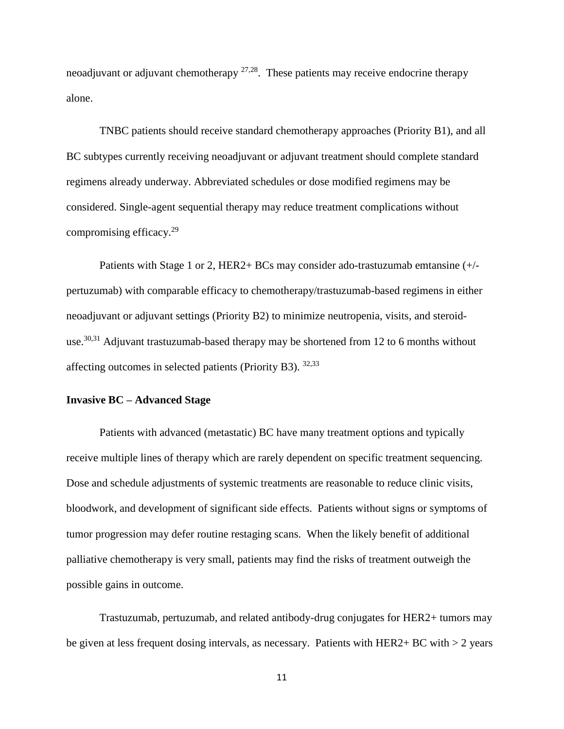neoadjuvant or adjuvant chemotherapy  $27,28$ . These patients may receive endocrine therapy alone.

TNBC patients should receive standard chemotherapy approaches (Priority B1), and all BC subtypes currently receiving neoadjuvant or adjuvant treatment should complete standard regimens already underway. Abbreviated schedules or dose modified regimens may be considered. Single-agent sequential therapy may reduce treatment complications without compromising efficacy. 29

Patients with Stage 1 or 2, HER2+ BCs may consider ado-trastuzumab emtansine (+/ pertuzumab) with comparable efficacy to chemotherapy/trastuzumab-based regimens in either neoadjuvant or adjuvant settings (Priority B2) to minimize neutropenia, visits, and steroiduse.<sup>30,31</sup> Adjuvant trastuzumab-based therapy may be shortened from 12 to 6 months without affecting outcomes in selected patients (Priority B3).  $32,33$ 

## **Invasive BC – Advanced Stage**

Patients with advanced (metastatic) BC have many treatment options and typically receive multiple lines of therapy which are rarely dependent on specific treatment sequencing. Dose and schedule adjustments of systemic treatments are reasonable to reduce clinic visits, bloodwork, and development of significant side effects. Patients without signs or symptoms of tumor progression may defer routine restaging scans. When the likely benefit of additional palliative chemotherapy is very small, patients may find the risks of treatment outweigh the possible gains in outcome.

Trastuzumab, pertuzumab, and related antibody-drug conjugates for HER2+ tumors may be given at less frequent dosing intervals, as necessary. Patients with HER2+ BC with  $> 2$  years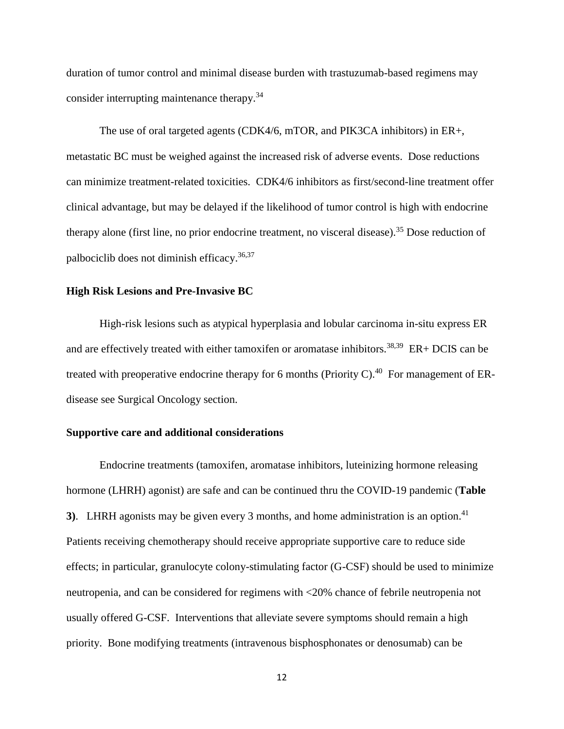duration of tumor control and minimal disease burden with trastuzumab-based regimens may consider interrupting maintenance therapy.<sup>34</sup>

The use of oral targeted agents (CDK4/6, mTOR, and PIK3CA inhibitors) in ER+, metastatic BC must be weighed against the increased risk of adverse events. Dose reductions can minimize treatment-related toxicities. CDK4/6 inhibitors as first/second-line treatment offer clinical advantage, but may be delayed if the likelihood of tumor control is high with endocrine therapy alone (first line, no prior endocrine treatment, no visceral disease).<sup>35</sup> Dose reduction of palbociclib does not diminish efficacy. 36,37

#### **High Risk Lesions and Pre-Invasive BC**

High-risk lesions such as atypical hyperplasia and lobular carcinoma in-situ express ER and are effectively treated with either tamoxifen or aromatase inhibitors.<sup>38,39</sup> ER+ DCIS can be treated with preoperative endocrine therapy for 6 months (Priority C).<sup>40</sup> For management of ERdisease see Surgical Oncology section.

## **Supportive care and additional considerations**

Endocrine treatments (tamoxifen, aromatase inhibitors, luteinizing hormone releasing hormone (LHRH) agonist) are safe and can be continued thru the COVID-19 pandemic (**Table 3**). LHRH agonists may be given every 3 months, and home administration is an option.<sup>41</sup> Patients receiving chemotherapy should receive appropriate supportive care to reduce side effects; in particular, granulocyte colony-stimulating factor (G-CSF) should be used to minimize neutropenia, and can be considered for regimens with <20% chance of febrile neutropenia not usually offered G-CSF. Interventions that alleviate severe symptoms should remain a high priority. Bone modifying treatments (intravenous bisphosphonates or denosumab) can be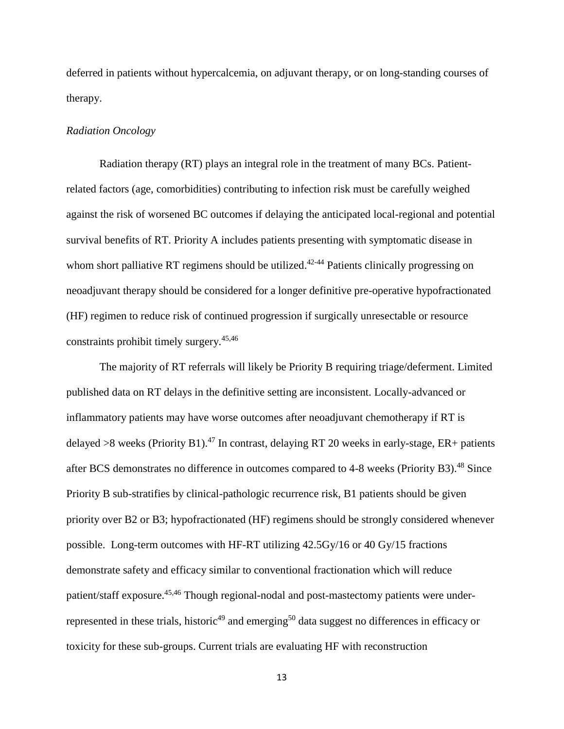deferred in patients without hypercalcemia, on adjuvant therapy, or on long-standing courses of therapy.

## *Radiation Oncology*

Radiation therapy (RT) plays an integral role in the treatment of many BCs. Patientrelated factors (age, comorbidities) contributing to infection risk must be carefully weighed against the risk of worsened BC outcomes if delaying the anticipated local-regional and potential survival benefits of RT. Priority A includes patients presenting with symptomatic disease in whom short palliative RT regimens should be utilized.<sup>42-44</sup> Patients clinically progressing on neoadjuvant therapy should be considered for a longer definitive pre-operative hypofractionated (HF) regimen to reduce risk of continued progression if surgically unresectable or resource constraints prohibit timely surgery.45,46

The majority of RT referrals will likely be Priority B requiring triage/deferment. Limited published data on RT delays in the definitive setting are inconsistent. Locally-advanced or inflammatory patients may have worse outcomes after neoadjuvant chemotherapy if RT is delayed >8 weeks (Priority B1).<sup>47</sup> In contrast, delaying RT 20 weeks in early-stage, ER+ patients after BCS demonstrates no difference in outcomes compared to 4-8 weeks (Priority B3).<sup>48</sup> Since Priority B sub-stratifies by clinical-pathologic recurrence risk, B1 patients should be given priority over B2 or B3; hypofractionated (HF) regimens should be strongly considered whenever possible. Long-term outcomes with HF-RT utilizing 42.5Gy/16 or 40 Gy/15 fractions demonstrate safety and efficacy similar to conventional fractionation which will reduce patient/staff exposure.<sup>45,46</sup> Though regional-nodal and post-mastectomy patients were underrepresented in these trials, historic<sup>49</sup> and emerging<sup>50</sup> data suggest no differences in efficacy or toxicity for these sub-groups. Current trials are evaluating HF with reconstruction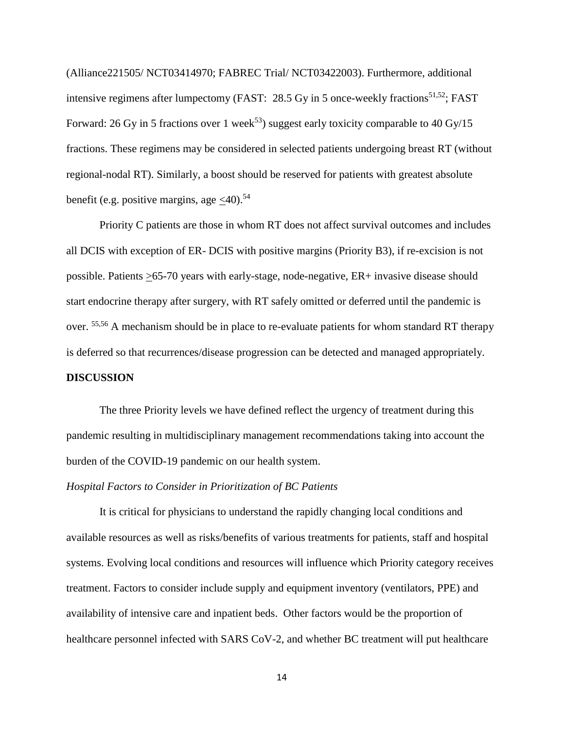(Alliance221505/ NCT03414970; FABREC Trial/ NCT03422003). Furthermore, additional intensive regimens after lumpectomy (FAST:  $28.5$  Gy in 5 once-weekly fractions<sup>51,52</sup>; FAST Forward: 26 Gy in 5 fractions over 1 week<sup>53</sup>) suggest early toxicity comparable to 40 Gy/15 fractions. These regimens may be considered in selected patients undergoing breast RT (without regional-nodal RT). Similarly, a boost should be reserved for patients with greatest absolute benefit (e.g. positive margins, age  $\langle 40 \rangle$ .<sup>54</sup>

Priority C patients are those in whom RT does not affect survival outcomes and includes all DCIS with exception of ER- DCIS with positive margins (Priority B3), if re-excision is not possible. Patients  $\geq 65-70$  years with early-stage, node-negative, ER+ invasive disease should start endocrine therapy after surgery, with RT safely omitted or deferred until the pandemic is over. 55,56 A mechanism should be in place to re-evaluate patients for whom standard RT therapy is deferred so that recurrences/disease progression can be detected and managed appropriately. **DISCUSSION**

The three Priority levels we have defined reflect the urgency of treatment during this pandemic resulting in multidisciplinary management recommendations taking into account the burden of the COVID-19 pandemic on our health system.

## *Hospital Factors to Consider in Prioritization of BC Patients*

It is critical for physicians to understand the rapidly changing local conditions and available resources as well as risks/benefits of various treatments for patients, staff and hospital systems. Evolving local conditions and resources will influence which Priority category receives treatment. Factors to consider include supply and equipment inventory (ventilators, PPE) and availability of intensive care and inpatient beds. Other factors would be the proportion of healthcare personnel infected with SARS CoV-2, and whether BC treatment will put healthcare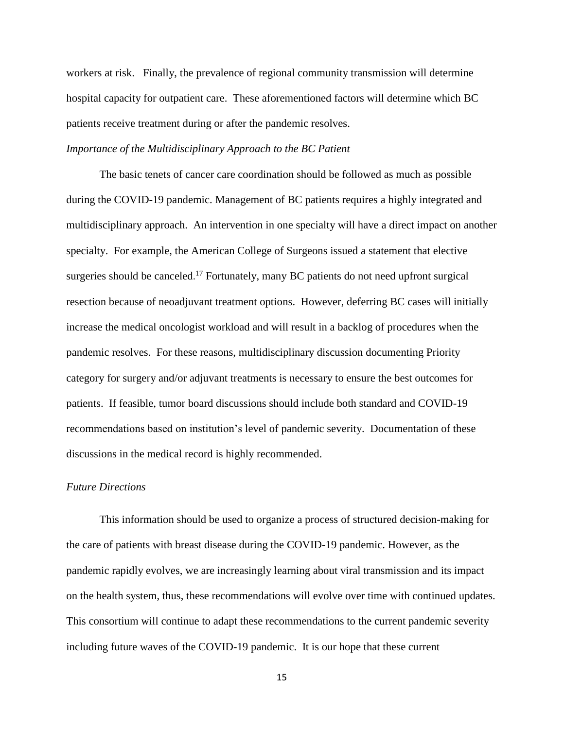workers at risk. Finally, the prevalence of regional community transmission will determine hospital capacity for outpatient care. These aforementioned factors will determine which BC patients receive treatment during or after the pandemic resolves.

## *Importance of the Multidisciplinary Approach to the BC Patient*

The basic tenets of cancer care coordination should be followed as much as possible during the COVID-19 pandemic. Management of BC patients requires a highly integrated and multidisciplinary approach. An intervention in one specialty will have a direct impact on another specialty. For example, the American College of Surgeons issued a statement that elective surgeries should be canceled.<sup>17</sup> Fortunately, many BC patients do not need upfront surgical resection because of neoadjuvant treatment options. However, deferring BC cases will initially increase the medical oncologist workload and will result in a backlog of procedures when the pandemic resolves. For these reasons, multidisciplinary discussion documenting Priority category for surgery and/or adjuvant treatments is necessary to ensure the best outcomes for patients. If feasible, tumor board discussions should include both standard and COVID-19 recommendations based on institution's level of pandemic severity. Documentation of these discussions in the medical record is highly recommended.

#### *Future Directions*

This information should be used to organize a process of structured decision-making for the care of patients with breast disease during the COVID-19 pandemic. However, as the pandemic rapidly evolves, we are increasingly learning about viral transmission and its impact on the health system, thus, these recommendations will evolve over time with continued updates. This consortium will continue to adapt these recommendations to the current pandemic severity including future waves of the COVID-19 pandemic. It is our hope that these current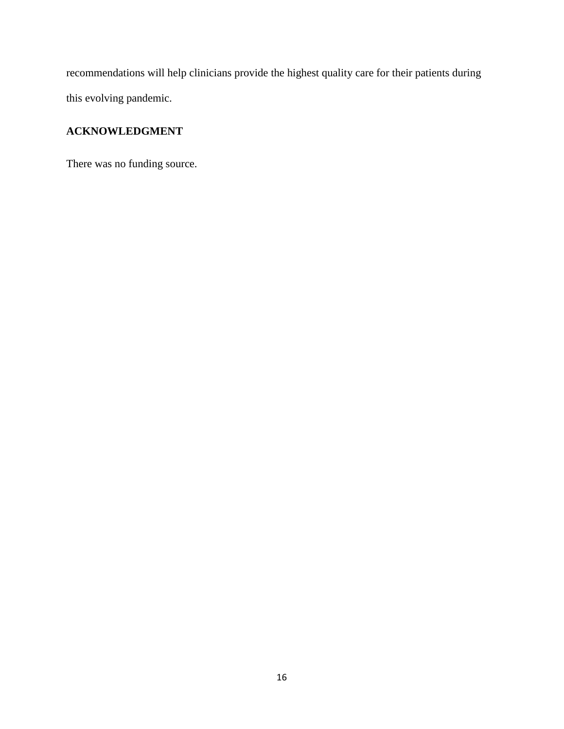recommendations will help clinicians provide the highest quality care for their patients during this evolving pandemic.

# **ACKNOWLEDGMENT**

There was no funding source.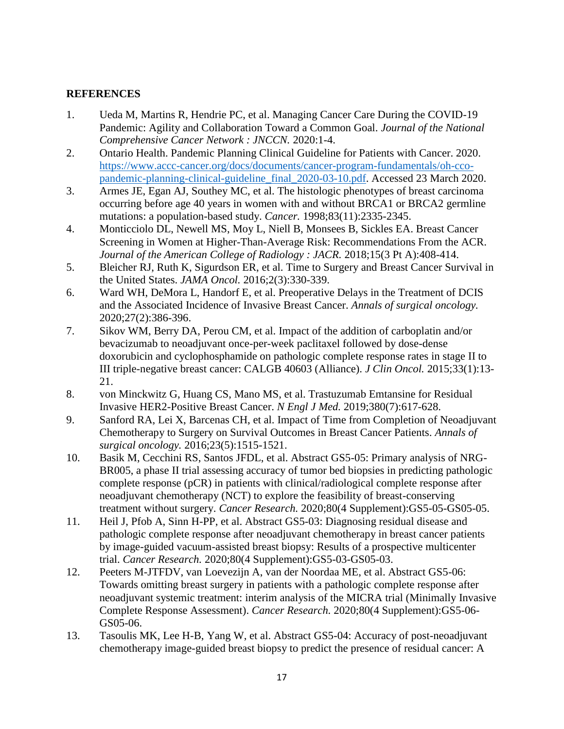# **REFERENCES**

- 1. Ueda M, Martins R, Hendrie PC, et al. Managing Cancer Care During the COVID-19 Pandemic: Agility and Collaboration Toward a Common Goal. *Journal of the National Comprehensive Cancer Network : JNCCN.* 2020:1-4.
- 2. Ontario Health. Pandemic Planning Clinical Guideline for Patients with Cancer. 2020. [https://www.accc-cancer.org/docs/documents/cancer-program-fundamentals/oh-cco](https://www.accc-cancer.org/docs/documents/cancer-program-fundamentals/oh-cco-pandemic-planning-clinical-guideline_final_2020-03-10.pdf)[pandemic-planning-clinical-guideline\\_final\\_2020-03-10.pdf.](https://www.accc-cancer.org/docs/documents/cancer-program-fundamentals/oh-cco-pandemic-planning-clinical-guideline_final_2020-03-10.pdf) Accessed 23 March 2020.
- 3. Armes JE, Egan AJ, Southey MC, et al. The histologic phenotypes of breast carcinoma occurring before age 40 years in women with and without BRCA1 or BRCA2 germline mutations: a population-based study. *Cancer.* 1998;83(11):2335-2345.
- 4. Monticciolo DL, Newell MS, Moy L, Niell B, Monsees B, Sickles EA. Breast Cancer Screening in Women at Higher-Than-Average Risk: Recommendations From the ACR. *Journal of the American College of Radiology : JACR.* 2018;15(3 Pt A):408-414.
- 5. Bleicher RJ, Ruth K, Sigurdson ER, et al. Time to Surgery and Breast Cancer Survival in the United States. *JAMA Oncol.* 2016;2(3):330-339.
- 6. Ward WH, DeMora L, Handorf E, et al. Preoperative Delays in the Treatment of DCIS and the Associated Incidence of Invasive Breast Cancer. *Annals of surgical oncology.*  2020;27(2):386-396.
- 7. Sikov WM, Berry DA, Perou CM, et al. Impact of the addition of carboplatin and/or bevacizumab to neoadjuvant once-per-week paclitaxel followed by dose-dense doxorubicin and cyclophosphamide on pathologic complete response rates in stage II to III triple-negative breast cancer: CALGB 40603 (Alliance). *J Clin Oncol.* 2015;33(1):13- 21.
- 8. von Minckwitz G, Huang CS, Mano MS, et al. Trastuzumab Emtansine for Residual Invasive HER2-Positive Breast Cancer. *N Engl J Med.* 2019;380(7):617-628.
- 9. Sanford RA, Lei X, Barcenas CH, et al. Impact of Time from Completion of Neoadjuvant Chemotherapy to Surgery on Survival Outcomes in Breast Cancer Patients. *Annals of surgical oncology.* 2016;23(5):1515-1521.
- 10. Basik M, Cecchini RS, Santos JFDL, et al. Abstract GS5-05: Primary analysis of NRG-BR005, a phase II trial assessing accuracy of tumor bed biopsies in predicting pathologic complete response (pCR) in patients with clinical/radiological complete response after neoadjuvant chemotherapy (NCT) to explore the feasibility of breast-conserving treatment without surgery. *Cancer Research.* 2020;80(4 Supplement):GS5-05-GS05-05.
- 11. Heil J, Pfob A, Sinn H-PP, et al. Abstract GS5-03: Diagnosing residual disease and pathologic complete response after neoadjuvant chemotherapy in breast cancer patients by image-guided vacuum-assisted breast biopsy: Results of a prospective multicenter trial. *Cancer Research.* 2020;80(4 Supplement):GS5-03-GS05-03.
- 12. Peeters M-JTFDV, van Loevezijn A, van der Noordaa ME, et al. Abstract GS5-06: Towards omitting breast surgery in patients with a pathologic complete response after neoadjuvant systemic treatment: interim analysis of the MICRA trial (Minimally Invasive Complete Response Assessment). *Cancer Research.* 2020;80(4 Supplement):GS5-06- GS05-06.
- 13. Tasoulis MK, Lee H-B, Yang W, et al. Abstract GS5-04: Accuracy of post-neoadjuvant chemotherapy image-guided breast biopsy to predict the presence of residual cancer: A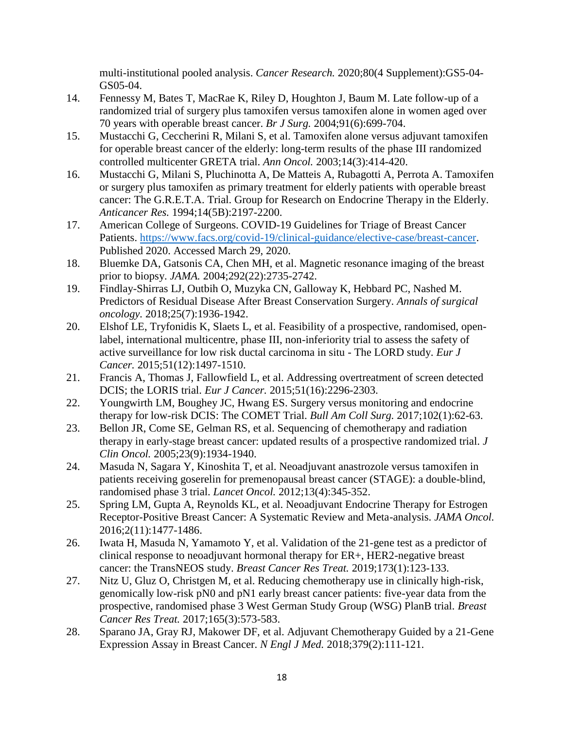multi-institutional pooled analysis. *Cancer Research.* 2020;80(4 Supplement):GS5-04- GS05-04.

- 14. Fennessy M, Bates T, MacRae K, Riley D, Houghton J, Baum M. Late follow-up of a randomized trial of surgery plus tamoxifen versus tamoxifen alone in women aged over 70 years with operable breast cancer. *Br J Surg.* 2004;91(6):699-704.
- 15. Mustacchi G, Ceccherini R, Milani S, et al. Tamoxifen alone versus adjuvant tamoxifen for operable breast cancer of the elderly: long-term results of the phase III randomized controlled multicenter GRETA trial. *Ann Oncol.* 2003;14(3):414-420.
- 16. Mustacchi G, Milani S, Pluchinotta A, De Matteis A, Rubagotti A, Perrota A. Tamoxifen or surgery plus tamoxifen as primary treatment for elderly patients with operable breast cancer: The G.R.E.T.A. Trial. Group for Research on Endocrine Therapy in the Elderly. *Anticancer Res.* 1994;14(5B):2197-2200.
- 17. American College of Surgeons. COVID-19 Guidelines for Triage of Breast Cancer Patients. [https://www.facs.org/covid-19/clinical-guidance/elective-case/breast-cancer.](https://www.facs.org/covid-19/clinical-guidance/elective-case/breast-cancer) Published 2020. Accessed March 29, 2020.
- 18. Bluemke DA, Gatsonis CA, Chen MH, et al. Magnetic resonance imaging of the breast prior to biopsy. *JAMA.* 2004;292(22):2735-2742.
- 19. Findlay-Shirras LJ, Outbih O, Muzyka CN, Galloway K, Hebbard PC, Nashed M. Predictors of Residual Disease After Breast Conservation Surgery. *Annals of surgical oncology.* 2018;25(7):1936-1942.
- 20. Elshof LE, Tryfonidis K, Slaets L, et al. Feasibility of a prospective, randomised, openlabel, international multicentre, phase III, non-inferiority trial to assess the safety of active surveillance for low risk ductal carcinoma in situ - The LORD study. *Eur J Cancer.* 2015;51(12):1497-1510.
- 21. Francis A, Thomas J, Fallowfield L, et al. Addressing overtreatment of screen detected DCIS; the LORIS trial. *Eur J Cancer.* 2015;51(16):2296-2303.
- 22. Youngwirth LM, Boughey JC, Hwang ES. Surgery versus monitoring and endocrine therapy for low-risk DCIS: The COMET Trial. *Bull Am Coll Surg.* 2017;102(1):62-63.
- 23. Bellon JR, Come SE, Gelman RS, et al. Sequencing of chemotherapy and radiation therapy in early-stage breast cancer: updated results of a prospective randomized trial. *J Clin Oncol.* 2005;23(9):1934-1940.
- 24. Masuda N, Sagara Y, Kinoshita T, et al. Neoadjuvant anastrozole versus tamoxifen in patients receiving goserelin for premenopausal breast cancer (STAGE): a double-blind, randomised phase 3 trial. *Lancet Oncol.* 2012;13(4):345-352.
- 25. Spring LM, Gupta A, Reynolds KL, et al. Neoadjuvant Endocrine Therapy for Estrogen Receptor-Positive Breast Cancer: A Systematic Review and Meta-analysis. *JAMA Oncol.*  2016;2(11):1477-1486.
- 26. Iwata H, Masuda N, Yamamoto Y, et al. Validation of the 21-gene test as a predictor of clinical response to neoadjuvant hormonal therapy for ER+, HER2-negative breast cancer: the TransNEOS study. *Breast Cancer Res Treat.* 2019;173(1):123-133.
- 27. Nitz U, Gluz O, Christgen M, et al. Reducing chemotherapy use in clinically high-risk, genomically low-risk pN0 and pN1 early breast cancer patients: five-year data from the prospective, randomised phase 3 West German Study Group (WSG) PlanB trial. *Breast Cancer Res Treat.* 2017;165(3):573-583.
- 28. Sparano JA, Gray RJ, Makower DF, et al. Adjuvant Chemotherapy Guided by a 21-Gene Expression Assay in Breast Cancer. *N Engl J Med.* 2018;379(2):111-121.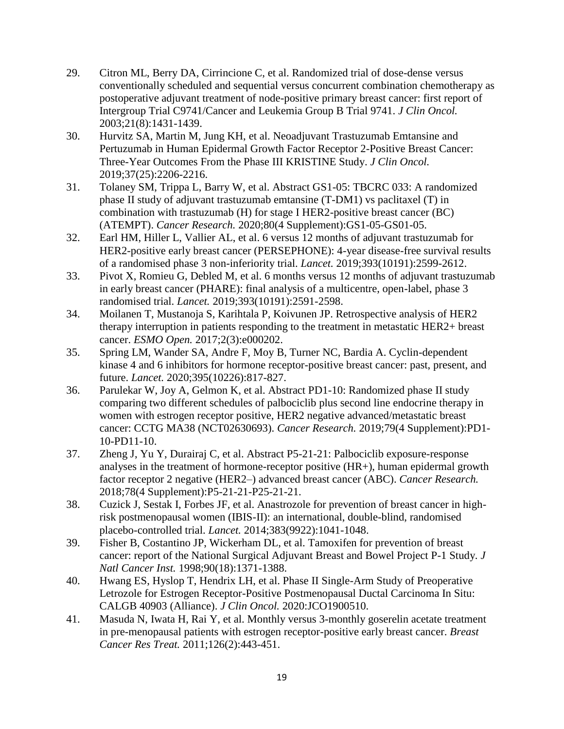- 29. Citron ML, Berry DA, Cirrincione C, et al. Randomized trial of dose-dense versus conventionally scheduled and sequential versus concurrent combination chemotherapy as postoperative adjuvant treatment of node-positive primary breast cancer: first report of Intergroup Trial C9741/Cancer and Leukemia Group B Trial 9741. *J Clin Oncol.*  2003;21(8):1431-1439.
- 30. Hurvitz SA, Martin M, Jung KH, et al. Neoadjuvant Trastuzumab Emtansine and Pertuzumab in Human Epidermal Growth Factor Receptor 2-Positive Breast Cancer: Three-Year Outcomes From the Phase III KRISTINE Study. *J Clin Oncol.*  2019;37(25):2206-2216.
- 31. Tolaney SM, Trippa L, Barry W, et al. Abstract GS1-05: TBCRC 033: A randomized phase II study of adjuvant trastuzumab emtansine (T-DM1) vs paclitaxel (T) in combination with trastuzumab (H) for stage I HER2-positive breast cancer (BC) (ATEMPT). *Cancer Research.* 2020;80(4 Supplement):GS1-05-GS01-05.
- 32. Earl HM, Hiller L, Vallier AL, et al. 6 versus 12 months of adjuvant trastuzumab for HER2-positive early breast cancer (PERSEPHONE): 4-year disease-free survival results of a randomised phase 3 non-inferiority trial. *Lancet.* 2019;393(10191):2599-2612.
- 33. Pivot X, Romieu G, Debled M, et al. 6 months versus 12 months of adjuvant trastuzumab in early breast cancer (PHARE): final analysis of a multicentre, open-label, phase 3 randomised trial. *Lancet.* 2019;393(10191):2591-2598.
- 34. Moilanen T, Mustanoja S, Karihtala P, Koivunen JP. Retrospective analysis of HER2 therapy interruption in patients responding to the treatment in metastatic HER2+ breast cancer. *ESMO Open.* 2017;2(3):e000202.
- 35. Spring LM, Wander SA, Andre F, Moy B, Turner NC, Bardia A. Cyclin-dependent kinase 4 and 6 inhibitors for hormone receptor-positive breast cancer: past, present, and future. *Lancet.* 2020;395(10226):817-827.
- 36. Parulekar W, Joy A, Gelmon K, et al. Abstract PD1-10: Randomized phase II study comparing two different schedules of palbociclib plus second line endocrine therapy in women with estrogen receptor positive, HER2 negative advanced/metastatic breast cancer: CCTG MA38 (NCT02630693). *Cancer Research.* 2019;79(4 Supplement):PD1- 10-PD11-10.
- 37. Zheng J, Yu Y, Durairaj C, et al. Abstract P5-21-21: Palbociclib exposure-response analyses in the treatment of hormone-receptor positive (HR+), human epidermal growth factor receptor 2 negative (HER2–) advanced breast cancer (ABC). *Cancer Research.*  2018;78(4 Supplement):P5-21-21-P25-21-21.
- 38. Cuzick J, Sestak I, Forbes JF, et al. Anastrozole for prevention of breast cancer in highrisk postmenopausal women (IBIS-II): an international, double-blind, randomised placebo-controlled trial. *Lancet.* 2014;383(9922):1041-1048.
- 39. Fisher B, Costantino JP, Wickerham DL, et al. Tamoxifen for prevention of breast cancer: report of the National Surgical Adjuvant Breast and Bowel Project P-1 Study. *J Natl Cancer Inst.* 1998;90(18):1371-1388.
- 40. Hwang ES, Hyslop T, Hendrix LH, et al. Phase II Single-Arm Study of Preoperative Letrozole for Estrogen Receptor-Positive Postmenopausal Ductal Carcinoma In Situ: CALGB 40903 (Alliance). *J Clin Oncol.* 2020:JCO1900510.
- 41. Masuda N, Iwata H, Rai Y, et al. Monthly versus 3-monthly goserelin acetate treatment in pre-menopausal patients with estrogen receptor-positive early breast cancer. *Breast Cancer Res Treat.* 2011;126(2):443-451.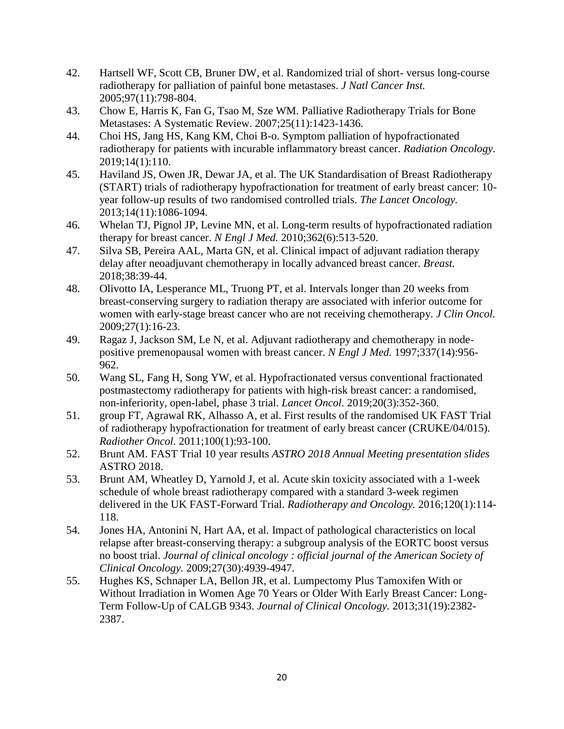- 42. Hartsell WF, Scott CB, Bruner DW, et al. Randomized trial of short- versus long-course radiotherapy for palliation of painful bone metastases. *J Natl Cancer Inst.*  2005;97(11):798-804.
- 43. Chow E, Harris K, Fan G, Tsao M, Sze WM. Palliative Radiotherapy Trials for Bone Metastases: A Systematic Review. 2007;25(11):1423-1436.
- 44. Choi HS, Jang HS, Kang KM, Choi B-o. Symptom palliation of hypofractionated radiotherapy for patients with incurable inflammatory breast cancer. *Radiation Oncology.*  2019;14(1):110.
- 45. Haviland JS, Owen JR, Dewar JA, et al. The UK Standardisation of Breast Radiotherapy (START) trials of radiotherapy hypofractionation for treatment of early breast cancer: 10 year follow-up results of two randomised controlled trials. *The Lancet Oncology.*  2013;14(11):1086-1094.
- 46. Whelan TJ, Pignol JP, Levine MN, et al. Long-term results of hypofractionated radiation therapy for breast cancer. *N Engl J Med.* 2010;362(6):513-520.
- 47. Silva SB, Pereira AAL, Marta GN, et al. Clinical impact of adjuvant radiation therapy delay after neoadjuvant chemotherapy in locally advanced breast cancer. *Breast.*  2018;38:39-44.
- 48. Olivotto IA, Lesperance ML, Truong PT, et al. Intervals longer than 20 weeks from breast-conserving surgery to radiation therapy are associated with inferior outcome for women with early-stage breast cancer who are not receiving chemotherapy. *J Clin Oncol.*  2009;27(1):16-23.
- 49. Ragaz J, Jackson SM, Le N, et al. Adjuvant radiotherapy and chemotherapy in nodepositive premenopausal women with breast cancer. *N Engl J Med.* 1997;337(14):956- 962.
- 50. Wang SL, Fang H, Song YW, et al. Hypofractionated versus conventional fractionated postmastectomy radiotherapy for patients with high-risk breast cancer: a randomised, non-inferiority, open-label, phase 3 trial. *Lancet Oncol.* 2019;20(3):352-360.
- 51. group FT, Agrawal RK, Alhasso A, et al. First results of the randomised UK FAST Trial of radiotherapy hypofractionation for treatment of early breast cancer (CRUKE/04/015). *Radiother Oncol.* 2011;100(1):93-100.
- 52. Brunt AM. FAST Trial 10 year results *ASTRO 2018 Annual Meeting presentation slides*  ASTRO 2018.
- 53. Brunt AM, Wheatley D, Yarnold J, et al. Acute skin toxicity associated with a 1-week schedule of whole breast radiotherapy compared with a standard 3-week regimen delivered in the UK FAST-Forward Trial. *Radiotherapy and Oncology.* 2016;120(1):114- 118.
- 54. Jones HA, Antonini N, Hart AA, et al. Impact of pathological characteristics on local relapse after breast-conserving therapy: a subgroup analysis of the EORTC boost versus no boost trial. *Journal of clinical oncology : official journal of the American Society of Clinical Oncology.* 2009;27(30):4939-4947.
- 55. Hughes KS, Schnaper LA, Bellon JR, et al. Lumpectomy Plus Tamoxifen With or Without Irradiation in Women Age 70 Years or Older With Early Breast Cancer: Long-Term Follow-Up of CALGB 9343. *Journal of Clinical Oncology.* 2013;31(19):2382- 2387.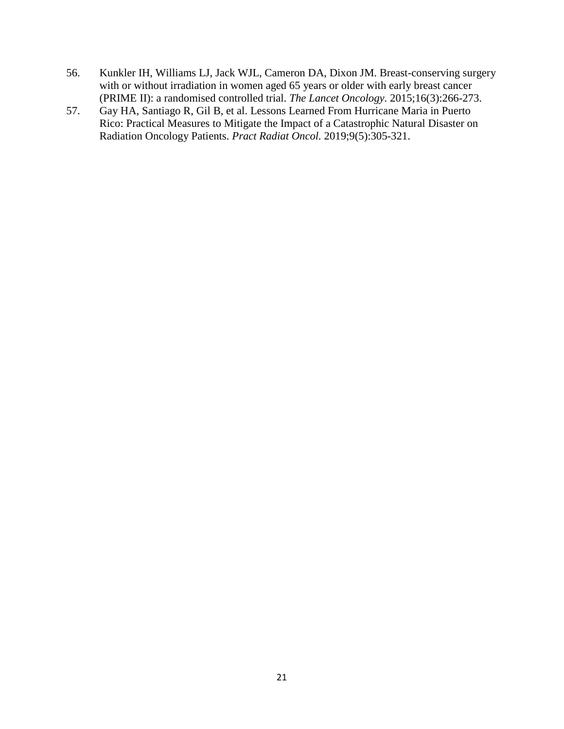- 56. Kunkler IH, Williams LJ, Jack WJL, Cameron DA, Dixon JM. Breast-conserving surgery with or without irradiation in women aged 65 years or older with early breast cancer (PRIME II): a randomised controlled trial. *The Lancet Oncology.* 2015;16(3):266-273.
- 57. Gay HA, Santiago R, Gil B, et al. Lessons Learned From Hurricane Maria in Puerto Rico: Practical Measures to Mitigate the Impact of a Catastrophic Natural Disaster on Radiation Oncology Patients. *Pract Radiat Oncol.* 2019;9(5):305-321.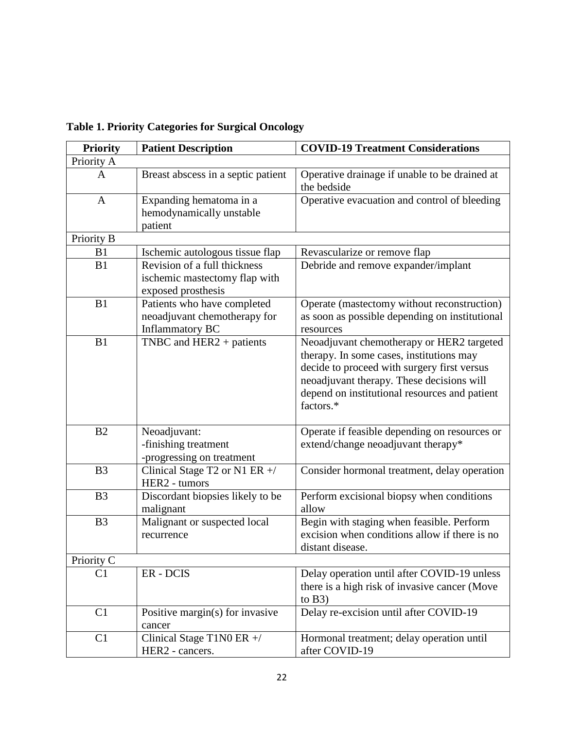| <b>Priority</b> | <b>Patient Description</b>                                                          | <b>COVID-19 Treatment Considerations</b>                                                                                                                                                                                                        |
|-----------------|-------------------------------------------------------------------------------------|-------------------------------------------------------------------------------------------------------------------------------------------------------------------------------------------------------------------------------------------------|
| Priority A      |                                                                                     |                                                                                                                                                                                                                                                 |
| A               | Breast abscess in a septic patient                                                  | Operative drainage if unable to be drained at<br>the bedside                                                                                                                                                                                    |
| A               | Expanding hematoma in a<br>hemodynamically unstable<br>patient                      | Operative evacuation and control of bleeding                                                                                                                                                                                                    |
| Priority B      |                                                                                     |                                                                                                                                                                                                                                                 |
| B1              | Ischemic autologous tissue flap                                                     | Revascularize or remove flap                                                                                                                                                                                                                    |
| B1              | Revision of a full thickness<br>ischemic mastectomy flap with<br>exposed prosthesis | Debride and remove expander/implant                                                                                                                                                                                                             |
| B1              | Patients who have completed<br>neoadjuvant chemotherapy for<br>Inflammatory BC      | Operate (mastectomy without reconstruction)<br>as soon as possible depending on institutional<br>resources                                                                                                                                      |
| B1              | TNBC and $HER2 + patients$                                                          | Neoadjuvant chemotherapy or HER2 targeted<br>therapy. In some cases, institutions may<br>decide to proceed with surgery first versus<br>neoadjuvant therapy. These decisions will<br>depend on institutional resources and patient<br>factors.* |
| B <sub>2</sub>  | Neoadjuvant:<br>-finishing treatment<br>-progressing on treatment                   | Operate if feasible depending on resources or<br>extend/change neoadjuvant therapy*                                                                                                                                                             |
| B <sub>3</sub>  | Clinical Stage T2 or N1 ER +/<br>HER2 - tumors                                      | Consider hormonal treatment, delay operation                                                                                                                                                                                                    |
| B <sub>3</sub>  | Discordant biopsies likely to be<br>malignant                                       | Perform excisional biopsy when conditions<br>allow                                                                                                                                                                                              |
| B <sub>3</sub>  | Malignant or suspected local<br>recurrence                                          | Begin with staging when feasible. Perform<br>excision when conditions allow if there is no<br>distant disease.                                                                                                                                  |
| Priority C      |                                                                                     |                                                                                                                                                                                                                                                 |
| C <sub>1</sub>  | ER - DCIS                                                                           | Delay operation until after COVID-19 unless<br>there is a high risk of invasive cancer (Move<br>to $B3)$                                                                                                                                        |
| C1              | Positive margin(s) for invasive<br>cancer                                           | Delay re-excision until after COVID-19                                                                                                                                                                                                          |
| C <sub>1</sub>  | Clinical Stage T1N0 ER $+$ /<br>HER2 - cancers.                                     | Hormonal treatment; delay operation until<br>after COVID-19                                                                                                                                                                                     |

**Table 1. Priority Categories for Surgical Oncology**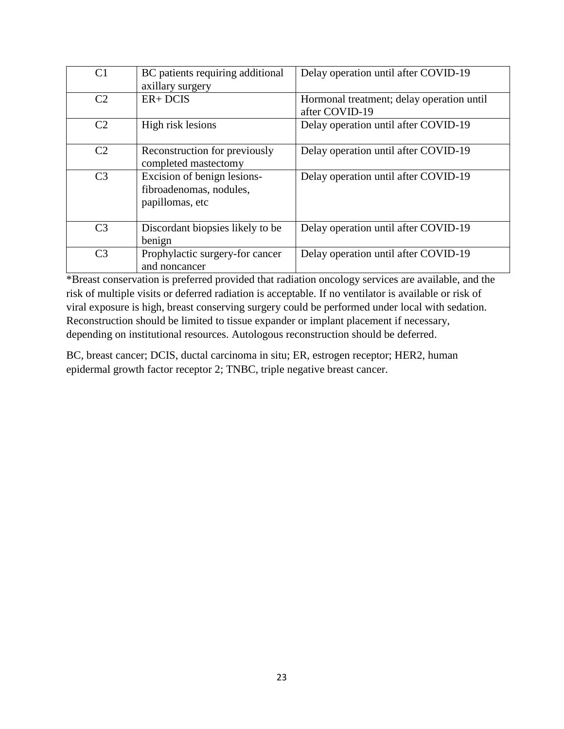| C <sub>1</sub> | BC patients requiring additional<br>axillary surgery                      | Delay operation until after COVID-19                        |
|----------------|---------------------------------------------------------------------------|-------------------------------------------------------------|
| C <sub>2</sub> | $ER + DCIS$                                                               | Hormonal treatment; delay operation until<br>after COVID-19 |
| C <sub>2</sub> | High risk lesions                                                         | Delay operation until after COVID-19                        |
| C <sub>2</sub> | Reconstruction for previously<br>completed mastectomy                     | Delay operation until after COVID-19                        |
| C <sub>3</sub> | Excision of benign lesions-<br>fibroadenomas, nodules,<br>papillomas, etc | Delay operation until after COVID-19                        |
| C <sub>3</sub> | Discordant biopsies likely to be<br>benign                                | Delay operation until after COVID-19                        |
| C <sub>3</sub> | Prophylactic surgery-for cancer<br>and noncancer                          | Delay operation until after COVID-19                        |

\*Breast conservation is preferred provided that radiation oncology services are available, and the risk of multiple visits or deferred radiation is acceptable. If no ventilator is available or risk of viral exposure is high, breast conserving surgery could be performed under local with sedation. Reconstruction should be limited to tissue expander or implant placement if necessary, depending on institutional resources. Autologous reconstruction should be deferred.

BC, breast cancer; DCIS, ductal carcinoma in situ; ER, estrogen receptor; HER2, human epidermal growth factor receptor 2; TNBC, triple negative breast cancer.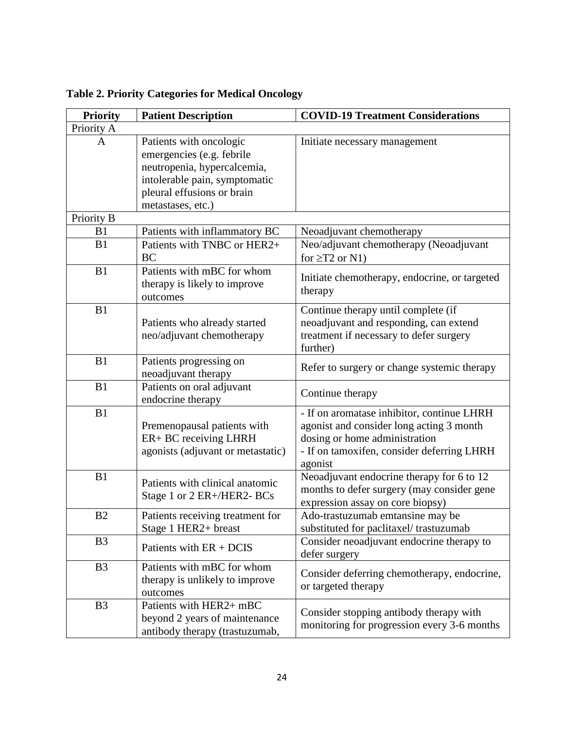| <b>Priority</b> | <b>Patient Description</b>                                                                                                                                              | <b>COVID-19 Treatment Considerations</b>                                                                                                                                         |
|-----------------|-------------------------------------------------------------------------------------------------------------------------------------------------------------------------|----------------------------------------------------------------------------------------------------------------------------------------------------------------------------------|
| Priority A      |                                                                                                                                                                         |                                                                                                                                                                                  |
| A               | Patients with oncologic<br>emergencies (e.g. febrile<br>neutropenia, hypercalcemia,<br>intolerable pain, symptomatic<br>pleural effusions or brain<br>metastases, etc.) | Initiate necessary management                                                                                                                                                    |
| Priority B      |                                                                                                                                                                         |                                                                                                                                                                                  |
| B1              | Patients with inflammatory BC                                                                                                                                           | Neoadjuvant chemotherapy                                                                                                                                                         |
| B1              | Patients with TNBC or HER2+<br><b>BC</b>                                                                                                                                | Neo/adjuvant chemotherapy (Neoadjuvant<br>for $\geq$ T2 or N1)                                                                                                                   |
| B1              | Patients with mBC for whom<br>therapy is likely to improve<br>outcomes                                                                                                  | Initiate chemotherapy, endocrine, or targeted<br>therapy                                                                                                                         |
| B1              | Patients who already started<br>neo/adjuvant chemotherapy                                                                                                               | Continue therapy until complete (if<br>neoadjuvant and responding, can extend<br>treatment if necessary to defer surgery<br>further)                                             |
| B1              | Patients progressing on<br>neoadjuvant therapy                                                                                                                          | Refer to surgery or change systemic therapy                                                                                                                                      |
| B1              | Patients on oral adjuvant<br>endocrine therapy                                                                                                                          | Continue therapy                                                                                                                                                                 |
| B1              | Premenopausal patients with<br>ER+ BC receiving LHRH<br>agonists (adjuvant or metastatic)                                                                               | - If on aromatase inhibitor, continue LHRH<br>agonist and consider long acting 3 month<br>dosing or home administration<br>- If on tamoxifen, consider deferring LHRH<br>agonist |
| B1              | Patients with clinical anatomic<br>Stage 1 or 2 ER+/HER2- BCs                                                                                                           | Neoadjuvant endocrine therapy for 6 to 12<br>months to defer surgery (may consider gene<br>expression assay on core biopsy)                                                      |
| B2              | Patients receiving treatment for<br>Stage 1 HER2+ breast                                                                                                                | Ado-trastuzumab emtansine may be<br>substituted for paclitaxel/trastuzumab                                                                                                       |
| B <sub>3</sub>  | Patients with $ER + DCIS$                                                                                                                                               | Consider neoadjuvant endocrine therapy to<br>defer surgery                                                                                                                       |
| B <sub>3</sub>  | Patients with mBC for whom<br>therapy is unlikely to improve<br>outcomes                                                                                                | Consider deferring chemotherapy, endocrine,<br>or targeted therapy                                                                                                               |
| B <sub>3</sub>  | Patients with HER2+ mBC<br>beyond 2 years of maintenance<br>antibody therapy (trastuzumab,                                                                              | Consider stopping antibody therapy with<br>monitoring for progression every 3-6 months                                                                                           |

**Table 2. Priority Categories for Medical Oncology**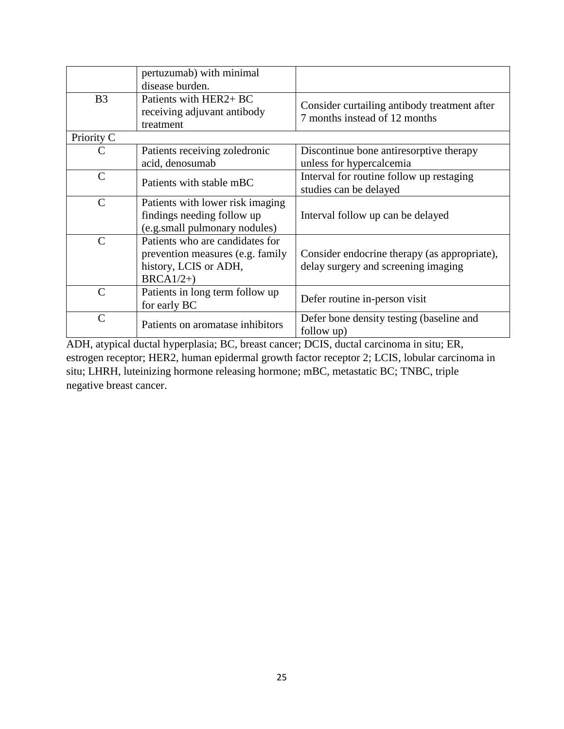|                | pertuzumab) with minimal<br>disease burden.                                                                 |                                                                                     |
|----------------|-------------------------------------------------------------------------------------------------------------|-------------------------------------------------------------------------------------|
| B <sub>3</sub> | Patients with HER2+ BC<br>receiving adjuvant antibody<br>treatment                                          | Consider curtailing antibody treatment after<br>7 months instead of 12 months       |
| Priority C     |                                                                                                             |                                                                                     |
| C              | Patients receiving zoledronic<br>acid, denosumab                                                            | Discontinue bone antiresorptive therapy<br>unless for hypercalcemia                 |
| $\mathcal{C}$  | Patients with stable mBC                                                                                    | Interval for routine follow up restaging<br>studies can be delayed                  |
| $\mathsf{C}$   | Patients with lower risk imaging<br>findings needing follow up<br>(e.g.small pulmonary nodules)             | Interval follow up can be delayed                                                   |
| $\mathcal{C}$  | Patients who are candidates for<br>prevention measures (e.g. family<br>history, LCIS or ADH,<br>$BRCA1/2+)$ | Consider endocrine therapy (as appropriate),<br>delay surgery and screening imaging |
| $\mathcal{C}$  | Patients in long term follow up<br>for early BC                                                             | Defer routine in-person visit                                                       |
| $\mathcal{C}$  | Patients on aromatase inhibitors                                                                            | Defer bone density testing (baseline and<br>follow up)                              |

ADH, atypical ductal hyperplasia; BC, breast cancer; DCIS, ductal carcinoma in situ; ER, estrogen receptor; HER2, human epidermal growth factor receptor 2; LCIS, lobular carcinoma in situ; LHRH, luteinizing hormone releasing hormone; mBC, metastatic BC; TNBC, triple negative breast cancer.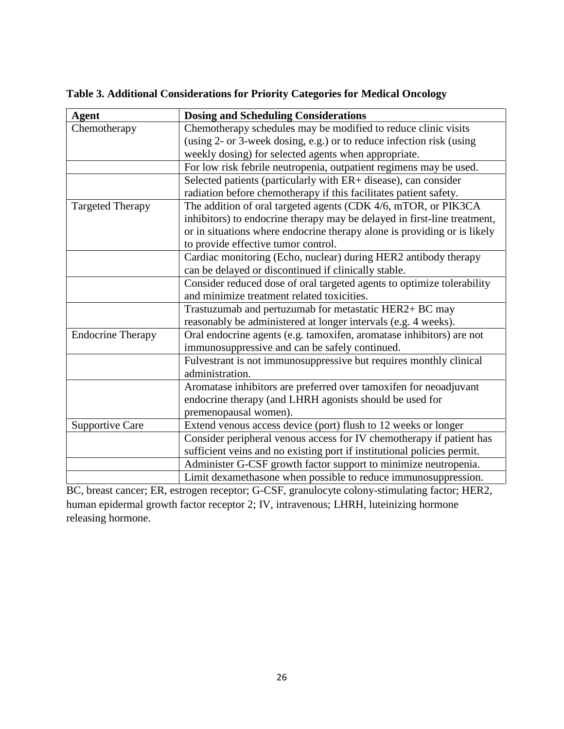| <b>Agent</b>             | <b>Dosing and Scheduling Considerations</b>                              |  |
|--------------------------|--------------------------------------------------------------------------|--|
| Chemotherapy             | Chemotherapy schedules may be modified to reduce clinic visits           |  |
|                          | (using 2- or 3-week dosing, e.g.) or to reduce infection risk (using     |  |
|                          | weekly dosing) for selected agents when appropriate.                     |  |
|                          | For low risk febrile neutropenia, outpatient regimens may be used.       |  |
|                          | Selected patients (particularly with ER+ disease), can consider          |  |
|                          | radiation before chemotherapy if this facilitates patient safety.        |  |
| <b>Targeted Therapy</b>  | The addition of oral targeted agents (CDK 4/6, mTOR, or PIK3CA           |  |
|                          | inhibitors) to endocrine therapy may be delayed in first-line treatment, |  |
|                          | or in situations where endocrine therapy alone is providing or is likely |  |
|                          | to provide effective tumor control.                                      |  |
|                          | Cardiac monitoring (Echo, nuclear) during HER2 antibody therapy          |  |
|                          | can be delayed or discontinued if clinically stable.                     |  |
|                          | Consider reduced dose of oral targeted agents to optimize tolerability   |  |
|                          | and minimize treatment related toxicities.                               |  |
|                          | Trastuzumab and pertuzumab for metastatic HER2+ BC may                   |  |
|                          | reasonably be administered at longer intervals (e.g. 4 weeks).           |  |
| <b>Endocrine Therapy</b> | Oral endocrine agents (e.g. tamoxifen, aromatase inhibitors) are not     |  |
|                          | immunosuppressive and can be safely continued.                           |  |
|                          | Fulvestrant is not immunosuppressive but requires monthly clinical       |  |
|                          | administration.                                                          |  |
|                          | Aromatase inhibitors are preferred over tamoxifen for neoadjuvant        |  |
|                          | endocrine therapy (and LHRH agonists should be used for                  |  |
|                          | premenopausal women).                                                    |  |
| <b>Supportive Care</b>   | Extend venous access device (port) flush to 12 weeks or longer           |  |
|                          | Consider peripheral venous access for IV chemotherapy if patient has     |  |
|                          | sufficient veins and no existing port if institutional policies permit.  |  |
|                          | Administer G-CSF growth factor support to minimize neutropenia.          |  |
|                          | Limit dexamethasone when possible to reduce immunosuppression.           |  |

**Table 3. Additional Considerations for Priority Categories for Medical Oncology** 

BC, breast cancer; ER, estrogen receptor; G-CSF, granulocyte colony-stimulating factor; HER2, human epidermal growth factor receptor 2; IV, intravenous; LHRH, luteinizing hormone releasing hormone.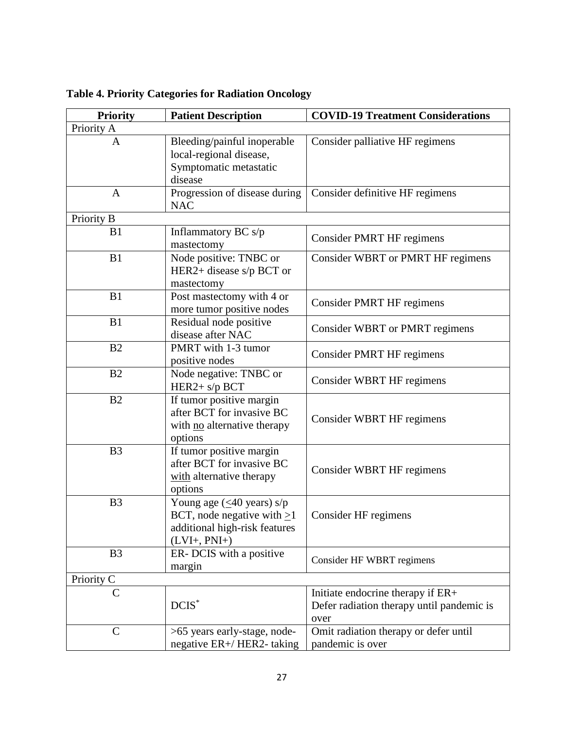| <b>Priority</b> | <b>Patient Description</b>                                                                                                             | <b>COVID-19 Treatment Considerations</b>                                               |
|-----------------|----------------------------------------------------------------------------------------------------------------------------------------|----------------------------------------------------------------------------------------|
| Priority A      |                                                                                                                                        |                                                                                        |
| A               | Bleeding/painful inoperable<br>local-regional disease,<br>Symptomatic metastatic<br>disease                                            | Consider palliative HF regimens                                                        |
| A               | Progression of disease during<br><b>NAC</b>                                                                                            | Consider definitive HF regimens                                                        |
| Priority B      |                                                                                                                                        |                                                                                        |
| B1              | Inflammatory BC s/p<br>mastectomy                                                                                                      | Consider PMRT HF regimens                                                              |
| B1              | Node positive: TNBC or<br>HER2+ disease $s/p$ BCT or<br>mastectomy                                                                     | Consider WBRT or PMRT HF regimens                                                      |
| B1              | Post mastectomy with 4 or<br>more tumor positive nodes                                                                                 | <b>Consider PMRT HF regimens</b>                                                       |
| B1              | Residual node positive<br>disease after NAC                                                                                            | Consider WBRT or PMRT regimens                                                         |
| B2              | PMRT with 1-3 tumor<br>positive nodes                                                                                                  | Consider PMRT HF regimens                                                              |
| B2              | Node negative: TNBC or<br>HER2+ s/p BCT                                                                                                | Consider WBRT HF regimens                                                              |
| B2              | If tumor positive margin<br>after BCT for invasive BC<br>with no alternative therapy<br>options                                        | Consider WBRT HF regimens                                                              |
| B <sub>3</sub>  | If tumor positive margin<br>after BCT for invasive BC<br>with alternative therapy<br>options                                           | Consider WBRT HF regimens                                                              |
| B <sub>3</sub>  | Young age $(\leq 40 \text{ years}) \text{ s/p}$<br>BCT, node negative with $\geq$ 1<br>additional high-risk features<br>$(LVI+, PNI+)$ | Consider HF regimens                                                                   |
| B <sub>3</sub>  | ER- DCIS with a positive<br>margin                                                                                                     | Consider HF WBRT regimens                                                              |
| Priority C      |                                                                                                                                        |                                                                                        |
| $\mathcal{C}$   | $DCIS^*$                                                                                                                               | Initiate endocrine therapy if ER+<br>Defer radiation therapy until pandemic is<br>over |
| $\mathsf{C}$    | >65 years early-stage, node-<br>negative ER+/HER2-taking                                                                               | Omit radiation therapy or defer until<br>pandemic is over                              |

**Table 4. Priority Categories for Radiation Oncology**